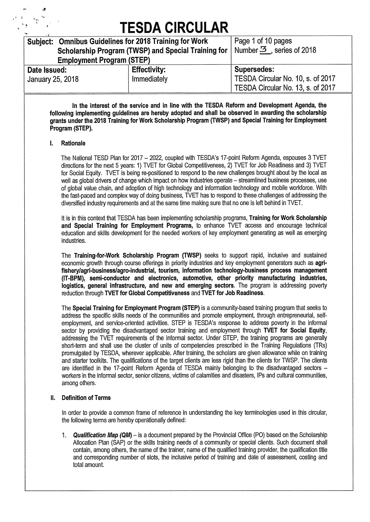|                                  | Subject: Omnibus Guidelines for 2018 Training for Work | Page 1 of 10 pages                     |
|----------------------------------|--------------------------------------------------------|----------------------------------------|
|                                  | Scholarship Program (TWSP) and Special Training for    | Number $\mathfrak{S}$ , series of 2018 |
| <b>Employment Program (STEP)</b> |                                                        |                                        |
| Date Issued:                     | <b>Effectivity:</b>                                    | <b>Supersedes:</b>                     |
| January 25, 2018                 | Immediately                                            | TESDA Circular No. 10, s. of 2017      |
|                                  |                                                        | TESDA Circular No. 13, s. of 2017      |
|                                  |                                                        |                                        |

**In the interest of the service and in line with the TESDA Reform and Development Agenda, the following implementing guidelines are hereby adopted and shall be observed in awarding the scholarship grants under the 2018 Training for Work Scholarship Program (TWSP) and Special Training for Employment Program (STEP).** 

#### **I. Rationale**

The National TESD Plan for 2017 — 2022, coupled with TESDA's 17-point Reform Agenda, espouses 3 TVET directions for the next 5 years: 1) TVET for Global Competitiveness, 2) TVET for Job Readiness and 3) TVET for Social Equity. TVET is being re-positioned to respond to the new challenges brought about by the local as well as global drivers of change which impact on how industries operate — streamlined business processes, use of global value chain, and adoption of high technology and information technology and mobile workforce. With the fast-paced and complex way of doing business, TVET has to respond to these challenges of addressing the diversified industry requirements and at the same time making sure that no one is left behind in WET.

It is in this context that TESDA has been implementing scholarship programs, **Training for Work Scholarship and Special Training for Employment Programs,** to enhance TVET access and encourage technical education and skills development for the needed workers of key employment generating as well as emerging industries.

The **Training-for-Work Scholarship Program (TWSP)** seeks to support rapid, inclusive and sustained economic growth through course offerings in priority industries and key employment generators such as **agrifishery/agri-business/agro-industrial, tourism, information technology-business process management (lT-BPM), semi-conductor and electronics, automotive, other priority manufacturing industries, logistics, general infrastructure, and new and emerging sectors.** The program is addressing poverty reduction through **TVET for Global Competitiveness** and **WET for Job Readiness.** 

The **Special Training for Employment Program (STEP)** is a community-based training program that seeks to address the specific skills needs of the communities and promote employment, through entrepreneurial, selfemployment, and service-oriented activities. STEP is TESDA's response to address poverty in the informal sector by providing the disadvantaged sector training and employment through **TVET for Social Equity,**  addressing the TVET requirements of the informal sector. Under STEP, the training programs are generally short-term and shall use the cluster of units of competencies prescribed in the Training Regulations (TRs) promulgated by TESDA, wherever applicable. After training, the scholars are given allowance while on training and starter toolkits. The qualifications of the target clients are less rigid than the clients for TWSP. The clients are identified in the 17-point Reform Agenda of TESDA mainly belonging to the disadvantaged sectors workers in the informal sector, senior citizens, victims of calamities and disasters, IPs and cultural communities, among others.

#### **II. Definition of Terms**

In order to provide a common frame of reference in understanding the key terminologies used in this circular, the following terms are hereby operationally defined:

*1. Qualification Map (QM) —* is a document prepared by the Provincial Office (P0) based on the Scholarship Allocation Plan (SAP) or the skills training needs of a community or special clients. Such document shall contain, among others, the name of the trainer, name of the qualified training provider, the qualification title and corresponding number of slots, the inclusive period of training and date of assessment, costing and total amount.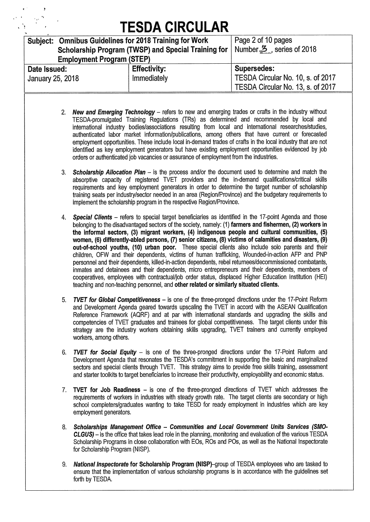| Subject: Omnibus Guidelines for 2018 Training for Work |                                                                                | Page 2 of 10 pages                |
|--------------------------------------------------------|--------------------------------------------------------------------------------|-----------------------------------|
|                                                        | Scholarship Program (TWSP) and Special Training for   Number 3, series of 2018 |                                   |
| <b>Employment Program (STEP)</b>                       |                                                                                |                                   |
| Date Issued:                                           | <b>Effectivity:</b>                                                            | Supersedes:                       |
| January 25, 2018                                       | Immediately                                                                    | TESDA Circular No. 10, s. of 2017 |
|                                                        |                                                                                | TESDA Circular No. 13, s. of 2017 |
|                                                        |                                                                                |                                   |

- *2. New and Emerging Technology* refers to new and emerging trades or crafts in the industry without TESDA-promulgated Training Regulations (TRs) as determined and recommended by local and international industry bodies/associations resulting from local and international researches/studies, authenticated labor market information/publications, among others that have current or forecasted employment opportunities. These include local in-demand trades of crafts in the local industry that are not identified as key employment generators but have existing employment opportunities evidenced by job orders or authenticated job vacancies or assurance of employment from the industries.
- *3. Scholarship Allocation Plan* is the process and/or the document used to determine and match the absorptive capacity of registered TVET providers and the in-demand qualifications/critical skills requirements and key employment generators in order to determine the target number of scholarship training seats per industry/sector needed in an area (Region/Province) and the budgetary requirements to implement the scholarship program in the respective Region/Province.
- *4. Special Clients* refers to special target beneficiaries as identified in the 17-point Agenda and those belonging to the disadvantaged sectors of the society, namely: (1) **farmers and fishermen, (2) workers in the informal sectors, (3) migrant workers, (4) indigenous people and cultural communities, (5) women, (6) differently-abled persons, (7) senior citizens, (8) victims of calamities and disasters, (9) out-of-school youths, (10) urban poor.** These special clients also include solo parents and their children, OFW and their dependents, victims of human trafficking, Wounded-in-action AFP and PNP personnel and their dependents, killed-in-action dependents, rebel returnees/decommissioned combatants, inmates and detainees and their dependents, micro entrepreneurs and their dependents, members of cooperatives, employees with contractual/job order status, displaced Higher Education Institution (HEI) teaching and non-teaching personnel, and **other related or similarly situated clients.**
- *5. TVET for Global Competitiveness* is one of the three-pronged directions under the 17-Point Reform and Development Agenda geared towards upscaling the TVET in accord with the ASEAN Qualification Reference Framework (AQRF) and at par with international standards and upgrading the skills and competencies of TVET graduates and trainees for global competitiveness. The target clients under this strategy are the industry workers obtaining skills upgrading, TVET trainers and currently employed workers, among others.
- *6. TVET for Social Equity* is one of the three-pronged directions under the 17-Point Reform and Development Agenda that resonates the TESDA's commitment in supporting the basic and marginalized sectors and special clients through TVET. This strategy aims to provide free skills training, assessment and starter toolkits to target beneficiaries to increase their productivity, employability and economic status.
- **7. WET for Job Readiness** is one of the three-pronged directions of TVET which addresses the requirements of workers in industries with steady growth rate. The target clients are secondary or high school completers/graduates wanting to take TESD for ready employment in industries which are key employment generators.
- *8. Scholarships Management Office Communities and Local Government Units Services (SMO-CLGUS) -* is the office that takes lead role in the planning, monitoring and evaluation of the various TESDA Scholarship Programs in close collaboration with EOs, ROs and POs, as well as the National Inspectorate for Scholarship Program (NISP).
- *9. National Inspectorate* **for Scholarship Program** (NISP)-group of TESDA employees who are tasked to ensure that the implementation of various scholarship programs is in accordance with the guidelines set forth by TESDA.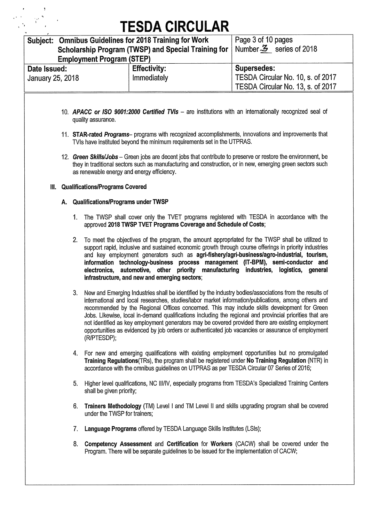|                                       |  |    | <b>Employment Program (STEP)</b>       | Subject: Omnibus Guidelines for 2018 Training for Work<br>Scholarship Program (TWSP) and Special Training for | Page 3 of 10 pages<br>Number 3 series of 2018                                                                                                                                                                                                                                                                                                                                                                                                                                                                                                                                                                                         |
|---------------------------------------|--|----|----------------------------------------|---------------------------------------------------------------------------------------------------------------|---------------------------------------------------------------------------------------------------------------------------------------------------------------------------------------------------------------------------------------------------------------------------------------------------------------------------------------------------------------------------------------------------------------------------------------------------------------------------------------------------------------------------------------------------------------------------------------------------------------------------------------|
| Date Issued:                          |  |    |                                        | <b>Effectivity:</b>                                                                                           | <b>Supersedes:</b>                                                                                                                                                                                                                                                                                                                                                                                                                                                                                                                                                                                                                    |
| January 25, 2018                      |  |    |                                        | Immediately                                                                                                   | TESDA Circular No. 10, s. of 2017<br>TESDA Circular No. 13, s. of 2017                                                                                                                                                                                                                                                                                                                                                                                                                                                                                                                                                                |
|                                       |  |    | quality assurance.                     |                                                                                                               | 10. APACC or ISO 9001:2000 Certified TVIs - are institutions with an internationally recognized seal of                                                                                                                                                                                                                                                                                                                                                                                                                                                                                                                               |
|                                       |  |    |                                        | TVIs have instituted beyond the minimum requirements set in the UTPRAS.                                       | 11. STAR-rated Programs- programs with recognized accomplishments, innovations and improvements that                                                                                                                                                                                                                                                                                                                                                                                                                                                                                                                                  |
|                                       |  |    |                                        | as renewable energy and energy efficiency.                                                                    | 12. Green Skills/Jobs - Green jobs are decent jobs that contribute to preserve or restore the environment, be<br>they in traditional sectors such as manufacturing and construction, or in new, emerging green sectors such                                                                                                                                                                                                                                                                                                                                                                                                           |
| Ш.                                    |  |    | <b>Qualifications/Programs Covered</b> |                                                                                                               |                                                                                                                                                                                                                                                                                                                                                                                                                                                                                                                                                                                                                                       |
| A. Qualifications/Programs under TWSP |  |    |                                        |                                                                                                               |                                                                                                                                                                                                                                                                                                                                                                                                                                                                                                                                                                                                                                       |
|                                       |  | 1. |                                        | approved 2018 TWSP TVET Programs Coverage and Schedule of Costs;                                              | The TWSP shall cover only the TVET programs registered with TESDA in accordance with the                                                                                                                                                                                                                                                                                                                                                                                                                                                                                                                                              |
|                                       |  | 2. |                                        | infrastructure, and new and emerging sectors;                                                                 | To meet the objectives of the program, the amount appropriated for the TWSP shall be utilized to<br>support rapid, inclusive and sustained economic growth through course offerings in priority industries<br>and key employment generators such as agri-fishery/agri-business/agro-industrial, tourism,<br>information technology-business process management (IT-BPM), semi-conductor and<br>electronics, automotive, other priority manufacturing industries, logistics, general                                                                                                                                                   |
|                                       |  | 3. | (R/PTESDP);                            |                                                                                                               | New and Emerging Industries shall be identified by the industry bodies/associations from the results of<br>international and local researches, studies/labor market information/publications, among others and<br>recommended by the Regional Offices concerned. This may include skills development for Green<br>Jobs. Likewise, local in-demand qualifications including the regional and provincial priorities that are<br>not identified as key employment generators may be covered provided there are existing employment<br>opportunities as evidenced by job orders or authenticated job vacancies or assurance of employment |
|                                       |  |    |                                        |                                                                                                               | 4. For new and emerging qualifications with existing employment opportunities but no promulgated<br>Training Regulations (TRs), the program shall be registered under No Training Regulation (NTR) in<br>accordance with the omnibus guidelines on UTPRAS as per TESDA Circular 07 Series of 2016;                                                                                                                                                                                                                                                                                                                                    |
|                                       |  | 5. | shall be given priority;               |                                                                                                               | Higher level qualifications, NC III/IV, especially programs from TESDA's Specialized Training Centers                                                                                                                                                                                                                                                                                                                                                                                                                                                                                                                                 |
|                                       |  | 6. | under the TWSP for trainers:           |                                                                                                               | Trainers Methodology (TM) Level I and TM Level II and skills upgrading program shall be covered                                                                                                                                                                                                                                                                                                                                                                                                                                                                                                                                       |
|                                       |  | 7. |                                        | Language Programs offered by TESDA Language Skills Institutes (LSIs);                                         |                                                                                                                                                                                                                                                                                                                                                                                                                                                                                                                                                                                                                                       |

**8. Competency Assessment** and **Certification** for **Workers** (CACW) shall be covered under the Program. There will be separate guidelines to be issued for the implementation of CACW;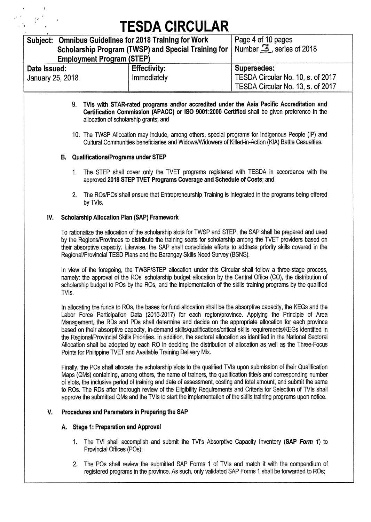| Subject: Omnibus Guidelines for 2018 Training for Work |                                                                                             | Page 4 of 10 pages                     |
|--------------------------------------------------------|---------------------------------------------------------------------------------------------|----------------------------------------|
|                                                        | Scholarship Program (TWSP) and Special Training for                                         | Number $\mathfrak{S}$ , series of 2018 |
| <b>Employment Program (STEP)</b>                       |                                                                                             |                                        |
| Date Issued:                                           | <b>Effectivity:</b>                                                                         | <b>Supersedes:</b>                     |
| January 25, 2018                                       | Immediately                                                                                 | TESDA Circular No. 10, s. of 2017      |
|                                                        |                                                                                             | TESDA Circular No. 13, s. of 2017      |
|                                                        | 9. TVIs with STAR-rated programs and/or accredited under the Asia Pacific Accreditation and |                                        |

- **Certification Commission (APACC) or ISO 9001:2000 Certified** shall be given preference in the allocation of scholarship grants; and
- 10. The TWSP Allocation may include, among others, special programs for Indigenous People (IP) and Cultural Communities beneficiaries and Widows/Widowers of Killed-in-Action (KIA) Battle Casualties.

#### **B. Qualifications/Programs under STEP**

- 1. The STEP shall cover only the TVET programs registered with TESDA in accordance with the approved **2018 STEP TVET Programs Coverage and Schedule of Costs;** and
- 2. The ROs/POs shall ensure that Entrepreneurship Training is integrated in the programs being offered by TVIs.

#### **IV. Scholarship Allocation Plan (SAP) Framework**

To rationalize the allocation of the scholarship slots for TWSP and STEP, the SAP shall be prepared and used by the Regions/Provinces to distribute the training seats for scholarship among the TVET providers based on their absorptive capacity. Likewise, the SAP shall consolidate efforts to address priority skills covered in the Regional/Provincial TESD Plans and the Barangay Skills Need Survey (BSNS).

In view of the foregoing, the TWSP/STEP allocation under this Circular shall follow a three-stage process, namely: the approval of the ROs' scholarship budget allocation by the Central Office (CO), the distribution of scholarship budget to POs by the ROs, and the implementation of the skills training programs by the qualified TVIs.

In allocating the funds to ROs, the bases for fund allocation shall be the absorptive capacity, the KEGs and the Labor Force Participation Data (2015-2017) for each region/province. Applying the Principle of Area Management, the RDs and PDs shall determine and decide on the appropriate allocation for each province based on their absorptive capacity, in-demand skills/qualifications/critical skills requirements/KEGs identified in the Regional/Provincial Skills Priorities. In addition, the sectoral allocation as identified in the National Sectoral Allocation shall be adopted by each RO in deciding the distribution of allocation as well as the Three-Focus Points for Philippine TVET and Available Training Delivery Mix.

Finally, the POs shall allocate the scholarship slots to the qualified TVIs upon submission of their Qualification Maps (QMs) containing, among others, the name of trainers, the qualification title/s and corresponding number of slots, the inclusive period of training and date of assessment, costing and total amount, and submit the same to ROs. The RDs after thorough review of the Eligibility Requirements and Criteria for Selection of TVIs shall approve the submitted QMs and the TVIs to start the implementation of the skills training programs upon notice.

#### **V. Procedures and Parameters in Preparing the SAP**

#### **A. Stage 1: Preparation and Approval**

- 1. The TVI shall accomplish and submit the TVI's Absorptive Capacity Inventory **(SAP** *Form 1)* to Provincial Offices (POs);
- 2. The POs shall review the submitted SAP Forms 1 of TVIs and match it with the compendium of registered programs in the province. As such, only validated SAP Forms 1 shall be forwarded to ROs;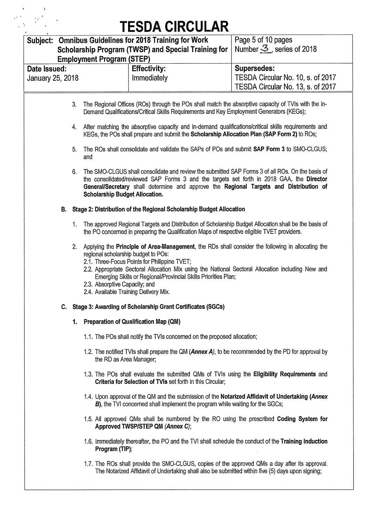$\label{eq:2} \begin{array}{l} \left(\begin{array}{cc} \mathbf{e} & \mathbf{e} & \mathbf{e} \\ \mathbf{e}^{i\alpha} & \mathbf{e}^{i\alpha} & \mathbf{e} \\ \mathbf{e}^{i\alpha} & \mathbf{e}^{i\alpha} & \mathbf{e} \\ \mathbf{e}^{i\alpha} & \mathbf{e}^{i\alpha} & \mathbf{e} \end{array}\right) \end{array}$ 

|                  |    |                                                                                                               | _______________                                                                                                                                                                                                                                                                                                          |                                        |
|------------------|----|---------------------------------------------------------------------------------------------------------------|--------------------------------------------------------------------------------------------------------------------------------------------------------------------------------------------------------------------------------------------------------------------------------------------------------------------------|----------------------------------------|
|                  |    |                                                                                                               | Subject: Omnibus Guidelines for 2018 Training for Work                                                                                                                                                                                                                                                                   | Page 5 of 10 pages                     |
|                  |    |                                                                                                               | <b>Scholarship Program (TWSP) and Special Training for</b>                                                                                                                                                                                                                                                               | Number $\mathfrak{S}$ , series of 2018 |
|                  |    | <b>Employment Program (STEP)</b>                                                                              |                                                                                                                                                                                                                                                                                                                          |                                        |
| Date Issued:     |    |                                                                                                               | <b>Effectivity:</b>                                                                                                                                                                                                                                                                                                      | <b>Supersedes:</b>                     |
| January 25, 2018 |    |                                                                                                               | Immediately                                                                                                                                                                                                                                                                                                              | TESDA Circular No. 10, s. of 2017      |
|                  |    |                                                                                                               |                                                                                                                                                                                                                                                                                                                          | TESDA Circular No. 13, s. of 2017      |
|                  |    |                                                                                                               |                                                                                                                                                                                                                                                                                                                          |                                        |
|                  | 3. |                                                                                                               | The Regional Offices (ROs) through the POs shall match the absorptive capacity of TVIs with the in-<br>Demand Qualifications/Critical Skills Requirements and Key Employment Generators (KEGs);                                                                                                                          |                                        |
|                  | 4. |                                                                                                               | After matching the absorptive capacity and in-demand qualifications/critical skills requirements and<br>KEGs, the POs shall prepare and submit the Scholarship Allocation Plan (SAP Form 2) to ROs;                                                                                                                      |                                        |
|                  | 5. | and                                                                                                           | The ROs shall consolidate and validate the SAPs of POs and submit SAP Form 3 to SMO-CLGUS;                                                                                                                                                                                                                               |                                        |
|                  | 6. | <b>Scholarship Budget Allocation.</b>                                                                         | The SMO-CLGUS shall consolidate and review the submitted SAP Forms 3 of all ROs. On the basis of<br>the consolidated/reviewed SAP Forms 3 and the targets set forth in 2018 GAA, the Director<br>General/Secretary shall determine and approve the Regional Targets and Distribution of                                  |                                        |
| В.               |    |                                                                                                               | Stage 2: Distribution of the Regional Scholarship Budget Allocation                                                                                                                                                                                                                                                      |                                        |
|                  | 1. |                                                                                                               | The approved Regional Targets and Distribution of Scholarship Budget Allocation shall be the basis of<br>the PO concerned in preparing the Qualification Maps of respective eligible TVET providers.                                                                                                                     |                                        |
|                  | 2. | regional scholarship budget to POs:<br>2.3. Absorptive Capacity; and<br>2.4. Available Training Delivery Mix. | Applying the Principle of Area-Management, the RDs shall consider the following in allocating the<br>2.1. Three-Focus Points for Philippine TVET;<br>2.2. Appropriate Sectoral Allocation Mix using the National Sectoral Allocation including New and<br>Emerging Skills or Regional/Provincial Skills Priorities Plan; |                                        |
|                  |    |                                                                                                               | C. Stage 3: Awarding of Scholarship Grant Certificates (SGCs)                                                                                                                                                                                                                                                            |                                        |
|                  | 1. |                                                                                                               | <b>Preparation of Qualification Map (QM)</b>                                                                                                                                                                                                                                                                             |                                        |
|                  |    |                                                                                                               | 1.1. The POs shall notify the TVIs concerned on the proposed allocation;                                                                                                                                                                                                                                                 |                                        |
|                  |    | the RD as Area Manager;                                                                                       | 1.2. The notified TVIs shall prepare the QM (Annex A), to be recommended by the PD for approval by                                                                                                                                                                                                                       |                                        |
|                  |    |                                                                                                               | 1.3. The POs shall evaluate the submitted QMs of TVIs using the Eligibility Requirements and<br>Criteria for Selection of TVIs set forth in this Circular;                                                                                                                                                               |                                        |
|                  |    |                                                                                                               | 1.4. Upon approval of the QM and the submission of the Notarized Affidavit of Undertaking (Annex<br><b>B)</b> , the TVI concerned shall implement the program while waiting for the SGCs;                                                                                                                                |                                        |
|                  |    |                                                                                                               | 1.5. All approved QMs shall be numbered by the RO using the prescribed Coding System for<br>Approved TWSP/STEP QM (Annex C);                                                                                                                                                                                             |                                        |
|                  |    | Program (TIP);                                                                                                | 1.6. Immediately thereafter, the PO and the TVI shall schedule the conduct of the Training Induction                                                                                                                                                                                                                     |                                        |
|                  |    |                                                                                                               | 1.7. The ROs shall provide the SMO-CLGUS, copies of the approved QMs a day after its approval.<br>The Notarized Affidavit of Undertaking shall also be submitted within five (5) days upon signing;                                                                                                                      |                                        |
|                  |    |                                                                                                               |                                                                                                                                                                                                                                                                                                                          |                                        |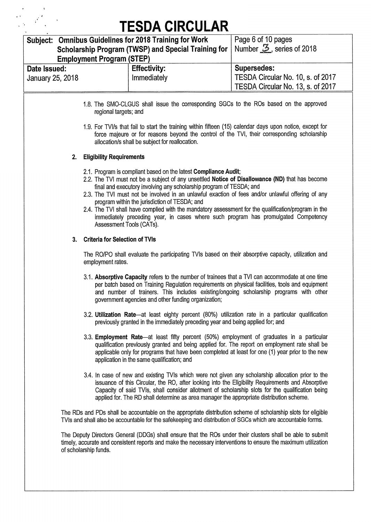$\begin{array}{l} \left(\frac{1}{2}\right)^2 \left(\frac{1}{2}\right)^2 \left(\frac{1}{2}\right)^2 \\ \left(\frac{1}{2}\right)^2 \left(\frac{1}{2}\right)^2 \left(\frac{1}{2}\right)^2 \left(\frac{1}{2}\right)^2 \left(\frac{1}{2}\right)^2 \end{array}$ 

|                         | Subject: Omnibus Guidelines for 2018 Training for Work                                                                                                                                                                                                                                                                                                                                                                                                                                                                                                                                                                   | Page 6 of 10 pages                    |
|-------------------------|--------------------------------------------------------------------------------------------------------------------------------------------------------------------------------------------------------------------------------------------------------------------------------------------------------------------------------------------------------------------------------------------------------------------------------------------------------------------------------------------------------------------------------------------------------------------------------------------------------------------------|---------------------------------------|
|                         | Scholarship Program (TWSP) and Special Training for                                                                                                                                                                                                                                                                                                                                                                                                                                                                                                                                                                      | Number $\mathcal{Z}$ , series of 2018 |
|                         | <b>Employment Program (STEP)</b>                                                                                                                                                                                                                                                                                                                                                                                                                                                                                                                                                                                         |                                       |
| Date Issued:            | <b>Effectivity:</b>                                                                                                                                                                                                                                                                                                                                                                                                                                                                                                                                                                                                      | <b>Supersedes:</b>                    |
| <b>January 25, 2018</b> | Immediately                                                                                                                                                                                                                                                                                                                                                                                                                                                                                                                                                                                                              | TESDA Circular No. 10, s. of 2017     |
|                         |                                                                                                                                                                                                                                                                                                                                                                                                                                                                                                                                                                                                                          | TESDA Circular No. 13, s. of 2017     |
|                         | 1.8. The SMO-CLGUS shall issue the corresponding SGCs to the ROs based on the approved<br>regional targets; and<br>1.9. For TVI/s that fail to start the training within fifteen (15) calendar days upon notice, except for<br>force majeure or for reasons beyond the control of the TVI, their corresponding scholarship                                                                                                                                                                                                                                                                                               |                                       |
|                         | allocation/s shall be subject for reallocation.                                                                                                                                                                                                                                                                                                                                                                                                                                                                                                                                                                          |                                       |
| 2.                      | <b>Eligibility Requirements</b>                                                                                                                                                                                                                                                                                                                                                                                                                                                                                                                                                                                          |                                       |
|                         | 2.1. Program is compliant based on the latest Compliance Audit;<br>2.2. The TVI must not be a subject of any unsettled Notice of Disallowance (ND) that has become<br>final and executory involving any scholarship program of TESDA; and<br>2.3. The TVI must not be involved in an unlawful exaction of fees and/or unlawful offering of any<br>program within the jurisdiction of TESDA; and<br>2.4. The TVI shall have complied with the mandatory assessment for the qualification/program in the<br>immediately preceding year, in cases where such program has promulgated Competency<br>Assessment Tools (CATs). |                                       |
| 3.                      | <b>Criteria for Selection of TVIs</b>                                                                                                                                                                                                                                                                                                                                                                                                                                                                                                                                                                                    |                                       |
|                         | The RO/PO shall evaluate the participating TVIs based on their absorptive capacity, utilization and<br>employment rates.                                                                                                                                                                                                                                                                                                                                                                                                                                                                                                 |                                       |
|                         | 3.1. Absorptive Capacity refers to the number of trainees that a TVI can accommodate at one time<br>per batch based on Training Regulation requirements on physical facilities, tools and equipment<br>and number of trainers. This includes existing/ongoing scholarship programs with other<br>government agencies and other funding organization;                                                                                                                                                                                                                                                                     |                                       |
|                         | 3.2. Utilization Rate—at least eighty percent (80%) utilization rate in a particular qualification<br>previously granted in the immediately preceding year and being applied for; and                                                                                                                                                                                                                                                                                                                                                                                                                                    |                                       |
|                         | 3.3. Employment Rate—at least fifty percent (50%) employment of graduates in a particular<br>qualification previously granted and being applied for. The report on employment rate shall be<br>applicable only for programs that have been completed at least for one (1) year prior to the new<br>application in the same qualification; and                                                                                                                                                                                                                                                                            |                                       |
|                         | 3.4. In case of new and existing TVIs which were not given any scholarship allocation prior to the<br>issuance of this Circular, the RO, after looking into the Eligibility Requirements and Absorptive<br>Capacity of said TVIs, shall consider allotment of scholarship slots for the qualification being<br>applied for. The RD shall determine as area manager the appropriate distribution scheme.                                                                                                                                                                                                                  |                                       |
|                         | The RDs and PDs shall be accountable on the appropriate distribution scheme of scholarship slots for eligible<br>TVIs and shall also be accountable for the safekeeping and distribution of SGCs which are accountable forms.                                                                                                                                                                                                                                                                                                                                                                                            |                                       |
|                         | The Deputy Directors General (DDGs) shall ensure that the ROs under their clusters shall be able to submit                                                                                                                                                                                                                                                                                                                                                                                                                                                                                                               |                                       |

timely, accurate and consistent reports and make the necessary interventions to ensure the maximum utilization of scholarship funds.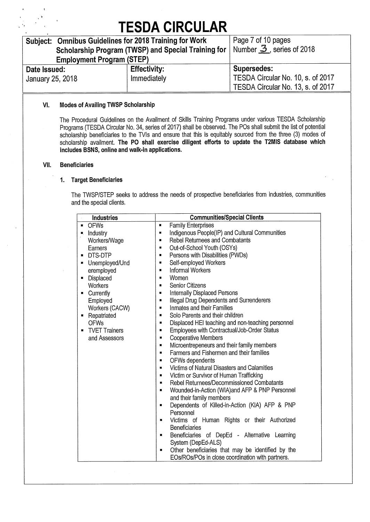| Subject: Omnibus Guidelines for 2018 Training for Work |                                                                                | Page 7 of 10 pages                |
|--------------------------------------------------------|--------------------------------------------------------------------------------|-----------------------------------|
|                                                        | Scholarship Program (TWSP) and Special Training for   Number 3, series of 2018 |                                   |
| <b>Employment Program (STEP)</b>                       |                                                                                |                                   |
| Date Issued:                                           | <b>Effectivity:</b>                                                            | <b>Supersedes:</b>                |
| January 25, 2018                                       | Immediately                                                                    | TESDA Circular No. 10, s. of 2017 |
|                                                        |                                                                                | TESDA Circular No. 13, s. of 2017 |

#### **VI. Modes of Availing TWSP Scholarship**

The Procedural Guidelines on the Availment of Skills Training Programs under various TESDA Scholarship Programs (TESDA Circular No. 34, series of 2017) shall be observed. The POs shall submit the list of potential scholarship beneficiaries to the TVIs and ensure that this is equitably sourced from the three (3) modes of scholarship availment. **The PO shall exercise diligent efforts to update the T2MIS database which includes BSNS, online and walk-in applications.** 

#### **VII. Beneficiaries**

#### **1. Target Beneficiaries**

The TWSP/STEP seeks to address the needs of prospective beneficiaries from industries, communities and the special clients.

| Industries                    | <b>Communities/Special Clients</b>                                                           |  |
|-------------------------------|----------------------------------------------------------------------------------------------|--|
| <b>OFWs</b><br>$\blacksquare$ | <b>Family Enterprises</b><br>п                                                               |  |
| Industry<br>ш.                | Indigenous People(IP) and Cultural Communities<br>$\blacksquare$                             |  |
| Workers/Wage                  | <b>Rebel Returnees and Combatants</b><br>۰                                                   |  |
| Earners                       | Out-of-School Youth (OSYs)                                                                   |  |
| DTS-DTP<br>$\blacksquare$     | Persons with Disabilities (PWDs)                                                             |  |
| Unemployed/Und<br>п           | Self-employed Workers<br>п                                                                   |  |
| eremployed                    | Informal Workers<br>$\blacksquare$                                                           |  |
| Displaced<br>$\blacksquare$   | Women<br>$\blacksquare$                                                                      |  |
| Workers                       | <b>Senior Citizens</b><br>■                                                                  |  |
| Currently<br>ш                | <b>Internally Displaced Persons</b><br>$\blacksquare$                                        |  |
| Employed                      | Illegal Drug Dependents and Surrenderers<br>$\blacksquare$                                   |  |
| Workers (CACW)                | Inmates and their Families<br>ш                                                              |  |
| Repatriated<br>層              | Solo Parents and their children<br>層                                                         |  |
| <b>OFWs</b>                   | Displaced HEI teaching and non-teaching personnel<br>$\blacksquare$                          |  |
| <b>TVET Trainers</b>          | Employees with Contractual/Job-Order Status<br>п                                             |  |
| and Assessors                 | Cooperative Members<br>$\blacksquare$                                                        |  |
|                               | Microentrepeneurs and their family members                                                   |  |
|                               | Farmers and Fishermen and their families                                                     |  |
|                               | OFWs dependents                                                                              |  |
|                               | Victims of Natural Disasters and Calamities                                                  |  |
|                               | Victim or Survivor of Human Trafficking<br>$\blacksquare$                                    |  |
|                               | Rebel Returnees/Decommissioned Combatants<br>$\blacksquare$<br>$\blacksquare$                |  |
|                               | Wounded-in-Action (WIA) and AFP & PNP Personnel                                              |  |
|                               | and their family members<br>Dependents of Killed-in-Action (KIA) AFP & PNP<br>$\blacksquare$ |  |
|                               | Personnel                                                                                    |  |
|                               | Victims of Human Rights or their Authorized<br>$\blacksquare$                                |  |
|                               | Beneficiaries                                                                                |  |
|                               | Beneficiaries of DepEd - Alternative Learning<br>$\blacksquare$                              |  |
|                               | System (DepEd-ALS)                                                                           |  |
|                               | Other beneficiaries that may be identified by the<br>$\blacksquare$                          |  |
|                               | EOs/ROs/POs in close coordination with partners.                                             |  |
|                               |                                                                                              |  |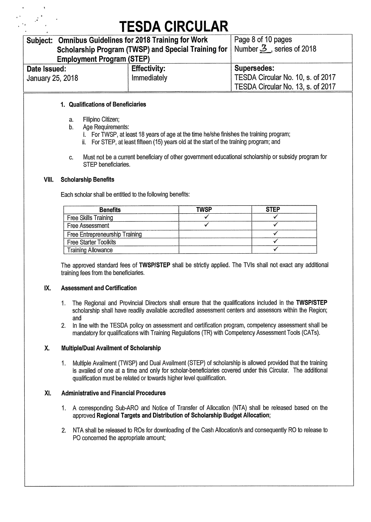| Subject: Omnibus Guidelines for 2018 Training for Work |                                                     | Page 8 of 10 pages                |
|--------------------------------------------------------|-----------------------------------------------------|-----------------------------------|
|                                                        | Scholarship Program (TWSP) and Special Training for | Number $3$ , series of 2018       |
| <b>Employment Program (STEP)</b>                       |                                                     |                                   |
| Date Issued:                                           | <b>Effectivity:</b>                                 | Supersedes:                       |
| January 25, 2018                                       | Immediately                                         | TESDA Circular No. 10, s. of 2017 |
|                                                        |                                                     | TESDA Circular No. 13, s. of 2017 |

#### **1. Qualifications of Beneficiaries**

- a. Filipino Citizen;
- b. Age Requirements:
	- i. For TWSP, at least 18 years of age at the time he/she finishes the training program;
	- ii. For STEP, at least fifteen (15) years old at the start of the training program; and
- c. Must not be a current beneficiary of other government educational scholarship or subsidy program for STEP beneficiaries.

#### **VIII. Scholarship Benefits**

Each scholar shall be entitled to the following benefits:

| <b>Benefits</b>                | <b>TWSP</b> | <b>STEP</b> |
|--------------------------------|-------------|-------------|
| Free Skills Training           |             |             |
| Free Assessment                |             |             |
| Free Entrepreneurship Training |             |             |
| <b>Free Starter Toolkits</b>   |             |             |
| <b>Training Allowance</b>      |             |             |

The approved standard fees of **TWSP/STEP** shall be strictly applied. The TVIs shall not exact any additional training fees from the beneficiaries.

#### **IX. Assessment and Certification**

- 1. The Regional and Provincial Directors shall ensure that the qualifications included in the **TWSP/STEP**  scholarship shall have readily available accredited assessment centers and assessors within the Region; and
- 2. In line with the TESDA policy on assessment and certification program, competency assessment shall be mandatory for qualifications with Training Regulations (TR) with Competency Assessment Tools (CATs).

#### **X. Multiple/Dual Availment of Scholarship**

1. Multiple Availment (TWSP) and Dual Availment (STEP) of scholarship is allowed provided that the training is availed of one at a time and only for scholar-beneficiaries covered under this Circular. The additional qualification must be related or towards higher level qualification.

#### Xl. **Administrative and Financial Procedures**

- 1. A corresponding Sub-ARO and Notice of Transfer of Allocation (NTA) shall be released based on the approved **Regional Targets and Distribution of Scholarship Budget Allocation;**
- 2. NTA shall be released to ROs for downloading of the Cash Allocation/s and consequently RO to release to PO concerned the appropriate amount;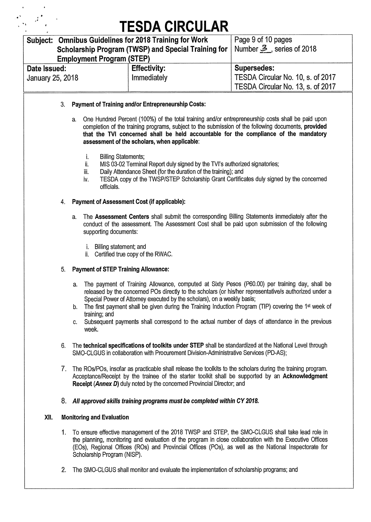| Subject: Omnibus Guidelines for 2018 Training for Work |                                                                                | Page 9 of 10 pages                |
|--------------------------------------------------------|--------------------------------------------------------------------------------|-----------------------------------|
|                                                        | Scholarship Program (TWSP) and Special Training for   Number 3, series of 2018 |                                   |
| <b>Employment Program (STEP)</b>                       |                                                                                |                                   |
| Date Issued:                                           | <b>Effectivity:</b>                                                            | <b>Supersedes:</b>                |
| January 25, 2018                                       | Immediately                                                                    | TESDA Circular No. 10, s. of 2017 |
|                                                        |                                                                                | TESDA Circular No. 13, s. of 2017 |

- 3. **Payment of Training andlor Entrepreneurship Costs:** 
	- a. One Hundred Percent (100%) of the total training and/or entrepreneurship costs shall be paid upon completion of the training programs, subject to the submission of the following documents, **provided that the TVI concerned shall be held accountable for the compliance of the mandatory assessment of the scholars, when applicable:** 
		- i. Billing Statements;<br>ii. MIS 03-02 Termina
		- MIS 03-02 Terminal Report duly signed by the TVI's authorized signatories;
		- iii. Daily Attendance Sheet (for the duration of the training); and
		- iv. TESDA copy of the TWSP/STEP Scholarship Grant Certificates duly signed by the concerned officials.

#### 4. **Payment of Assessment Cost (if applicable):**

- a. The **Assessment Centers** shall submit the corresponding Billing Statements immediately after the conduct of the assessment. The Assessment Cost shall be paid upon submission of the following supporting documents:
	- i. Billing statement; and
	- ii. Certified true copy of the RWAC.

### 5. **Payment of STEP Training Allowance:**

- a. The payment of Training Allowance, computed at Sixty Pesos (P60.00) per training day, shall be released by the concerned POs directly to the scholars (or his/her representative/s authorized under a Special Power of Attorney executed by the scholars), on a weekly basis;
- b. The first payment shall be given during the Training Induction Program (TIP) covering the 1<sup>st</sup> week of training; and
- c. Subsequent payments shall correspond to the actual number of days of attendance in the previous week.
- 6. The **technical specifications of toolkits under STEP** shall be standardized at the National Level through SMO-CLGUS in collaboration with Procurement Division-Administrative Services (PD-AS);
- 7. The ROs/POs, insofar as practicable shall release the toolkits to the scholars during the training program. Acceptance/Receipt by the trainee of the starter toolkit shall be supported by an **Acknowledgment Receipt (Annex D)** duly noted by the concerned Provincial Director; and

### *8. All approved skills training programs must be completed within CY 2018.*

### **XII. Monitoring and Evaluation**

- 1. To ensure effective management of the 2018 TWSP and STEP, the SMO-CLGUS shall take lead role in the planning, monitoring and evaluation of the program in close collaboration with the Executive Offices (EOs), Regional Offices (R0s) and Provincial Offices (POs), as well as the National Inspectorate for Scholarship Program (NISP).
- 2. The SMO-CLGUS shall monitor and evaluate the implementation of scholarship programs; and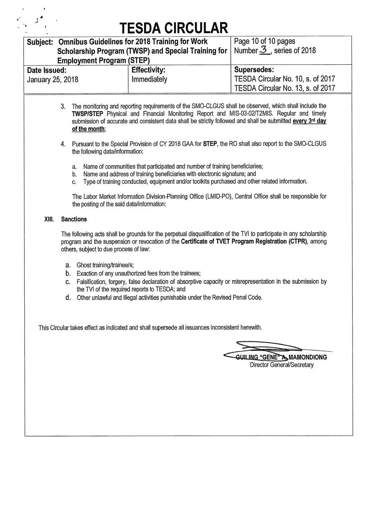| <b>Omnibus Guidelines for 2018 Training for Work</b><br>Subject:<br>Scholarship Program (TWSP) and Special Training for<br><b>Employment Program (STEP)</b> |                                                                                                                                                                                                                                       |                                                                                                                                                                                                                                                                                                                                                                                                                                                                                                                                                                                                                                                                                                                                                                                                                                                                                                                                                                                                                                                                                                                                                                                                                                                                                                                                                              | Page 10 of 10 pages<br>Number $\frac{3}{2}$ , series of 2018                                 |  |
|-------------------------------------------------------------------------------------------------------------------------------------------------------------|---------------------------------------------------------------------------------------------------------------------------------------------------------------------------------------------------------------------------------------|--------------------------------------------------------------------------------------------------------------------------------------------------------------------------------------------------------------------------------------------------------------------------------------------------------------------------------------------------------------------------------------------------------------------------------------------------------------------------------------------------------------------------------------------------------------------------------------------------------------------------------------------------------------------------------------------------------------------------------------------------------------------------------------------------------------------------------------------------------------------------------------------------------------------------------------------------------------------------------------------------------------------------------------------------------------------------------------------------------------------------------------------------------------------------------------------------------------------------------------------------------------------------------------------------------------------------------------------------------------|----------------------------------------------------------------------------------------------|--|
| Date Issued:<br>January 25, 2018                                                                                                                            |                                                                                                                                                                                                                                       | <b>Effectivity:</b><br>Immediately                                                                                                                                                                                                                                                                                                                                                                                                                                                                                                                                                                                                                                                                                                                                                                                                                                                                                                                                                                                                                                                                                                                                                                                                                                                                                                                           | <b>Supersedes:</b><br>TESDA Circular No. 10, s. of 2017<br>TESDA Circular No. 13, s. of 2017 |  |
| XIII.                                                                                                                                                       | 3.<br>of the month;<br>4.<br>the following data/information:<br>a.<br>b.<br>C.<br>the posting of the said data/information:<br><b>Sanctions</b><br>others, subject to due process of law:<br>a. Ghost training/trainee/s;<br>b.<br>C. | The monitoring and reporting requirements of the SMO-CLGUS shall be observed, which shall include the<br>TWSP/STEP Physical and Financial Monitoring Report and MIS-03-02/T2MIS. Regular and timely<br>submission of accurate and consistent data shall be strictly followed and shall be submitted every 3 <sup>rd</sup> day<br>Pursuant to the Special Provision of CY 2018 GAA for STEP, the RO shall also report to the SMO-CLGUS<br>Name of communities that participated and number of training beneficiaries;<br>Name and address of training beneficiaries with electronic signature; and<br>Type of training conducted, equipment and/or toolkits purchased and other related information.<br>The Labor Market Information Division-Planning Office (LMID-PO), Central Office shall be responsible for<br>The following acts shall be grounds for the perpetual disqualification of the TVI to participate in any scholarship<br>program and the suspension or revocation of the Certificate of TVET Program Registration (CTPR), among<br>Exaction of any unauthorized fees from the trainees;<br>Falsification, forgery, false declaration of absorptive capacity or misrepresentation in the submission by<br>the TVI of the required reports to TESDA; and<br>d. Other unlawful and illegal activities punishable under the Revised Penal Code. |                                                                                              |  |
|                                                                                                                                                             |                                                                                                                                                                                                                                       | This Circular takes effect as indicated and shall supersede all issuances inconsistent herewith.                                                                                                                                                                                                                                                                                                                                                                                                                                                                                                                                                                                                                                                                                                                                                                                                                                                                                                                                                                                                                                                                                                                                                                                                                                                             | GUILING "GENE" A MAMONDIONG<br><b>Director General/Secretary</b>                             |  |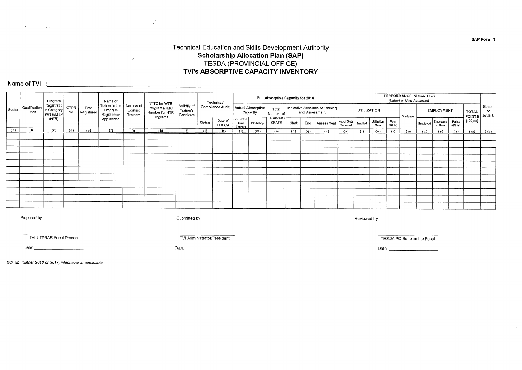#### **Technical Education and Skills Development Authority Scholarship Allocation Plan (SAP) TESDA (PROVINCIAL OFFICE) TVI's ABSORPTIVE CAPACITY INVENTORY**

### **Name of TVI :**

 $\mathbf{v}$ 

 $\mathcal{L}_{\text{max}}$  and  $\mathcal{L}_{\text{max}}$  . The  $\mathcal{L}_{\text{max}}$ 

 $\mathcal{L}^{\text{max}}_{\text{max}}$  and  $\mathcal{L}^{\text{max}}_{\text{max}}$ 

|        |                                | Program                               |                    |                    | Name of                                   |                                   |                                                |                                         |        | Technical/         |                                        |                               | Full Absorptive Capacity for 2018 |       |                |                                 |                          |             |                     |                  | PERFORMANCE INDICATORS<br>(Latest or Next Available) |          |                     |                                |                        |                               |
|--------|--------------------------------|---------------------------------------|--------------------|--------------------|-------------------------------------------|-----------------------------------|------------------------------------------------|-----------------------------------------|--------|--------------------|----------------------------------------|-------------------------------|-----------------------------------|-------|----------------|---------------------------------|--------------------------|-------------|---------------------|------------------|------------------------------------------------------|----------|---------------------|--------------------------------|------------------------|-------------------------------|
| Sector | Qualification<br><b>Titles</b> | Registratio<br>n Category<br>(WTR/MTP | <b>CTPR</b><br>No. | Date<br>Registered | Trainer in the<br>Program<br>Registration | Name/s of<br>Existing<br>Trainers | NTTC for WTR<br>Programs/TMC<br>Number for NTR | Validity of<br>Trainer's<br>Certificate |        | Compliance Audit   |                                        | Actual Absorptive<br>Capacity | Total<br>Number of                |       | and Assessment | Indicative Schedule of Training |                          | UTILIZATION |                     |                  | Graduates                                            |          | <b>EMPLOYMENT</b>   |                                | TOTAL<br><b>POINTS</b> | Status<br>of<br><b>JoLINS</b> |
|        |                                | /NTR)                                 |                    |                    | Application                               |                                   | Programs                                       |                                         | Status | Date of<br>Last CA | No. of Full<br>Time<br><b>Trainers</b> | Workshop                      | TRAINING<br><b>SEATS</b>          | Start | End            | Assessment                      | No. of Slots<br>Received | Enrolled    | Utilization<br>Rate | Point<br>(30pts) |                                                      | Employed | Employme<br>nt Rate | Points<br>(40 <sub>pts</sub> ) | (100pts)               |                               |
| (a)    | (b)                            | (c)                                   | (d)                | (e)                | (f)                                       | (g)                               | (h)                                            |                                         | (1)    | (k)                | (1)                                    | (m)                           | (0)                               | (p)   | (q)            | (r)                             | (s)                      | (t)         | (u)                 | (v)              | (w)                                                  | (x)      | (y)                 | (z)                            | (aa)                   | (ab)                          |
|        |                                |                                       |                    |                    |                                           |                                   |                                                |                                         |        |                    |                                        |                               |                                   |       |                |                                 |                          |             |                     |                  |                                                      |          |                     |                                |                        |                               |
|        |                                |                                       |                    |                    |                                           |                                   |                                                |                                         |        |                    |                                        |                               |                                   |       |                |                                 |                          |             |                     |                  |                                                      |          |                     |                                |                        |                               |
|        |                                |                                       |                    |                    |                                           |                                   |                                                |                                         |        |                    |                                        |                               |                                   |       |                |                                 |                          |             |                     |                  |                                                      |          |                     |                                |                        |                               |
|        |                                |                                       |                    |                    |                                           |                                   |                                                |                                         |        |                    |                                        |                               |                                   |       |                |                                 |                          |             |                     |                  |                                                      |          |                     |                                |                        |                               |
|        |                                |                                       |                    |                    |                                           |                                   |                                                |                                         |        |                    |                                        |                               |                                   |       |                |                                 |                          |             |                     |                  |                                                      |          |                     |                                |                        |                               |
|        |                                |                                       |                    |                    |                                           |                                   |                                                |                                         |        |                    |                                        |                               |                                   |       |                |                                 |                          |             |                     |                  |                                                      |          |                     |                                |                        |                               |
|        |                                |                                       |                    |                    |                                           |                                   |                                                |                                         |        |                    |                                        |                               |                                   |       |                |                                 |                          |             |                     |                  |                                                      |          |                     |                                |                        |                               |
|        |                                |                                       |                    |                    |                                           |                                   |                                                |                                         |        |                    |                                        |                               |                                   |       |                |                                 |                          |             |                     |                  |                                                      |          |                     |                                |                        |                               |
|        |                                |                                       |                    |                    |                                           |                                   |                                                |                                         |        |                    |                                        |                               |                                   |       |                |                                 |                          |             |                     |                  |                                                      |          |                     |                                |                        |                               |
|        |                                |                                       |                    |                    |                                           |                                   |                                                |                                         |        |                    |                                        |                               |                                   |       |                |                                 |                          |             |                     |                  |                                                      |          |                     |                                |                        |                               |
|        |                                |                                       |                    |                    |                                           |                                   |                                                |                                         |        |                    |                                        |                               |                                   |       |                |                                 |                          |             |                     |                  |                                                      |          |                     |                                |                        |                               |

 $\sim$ 

Prepared by: Reviewed by: Submitted by: Submitted by: Submitted by: Submitted by: Reviewed by:

 $\frac{1}{\sqrt{2}}$ 

 $\mathcal{S}^{\mathcal{S}}$ 

TVI Administrator/President TESDA PO Scholarship Focal Person TESDA PO Scholarship Focal

Date: Date: Date:

**NOTE:** \*Either 2016 or 2017, whichever is applicable.

**SAP Form 1**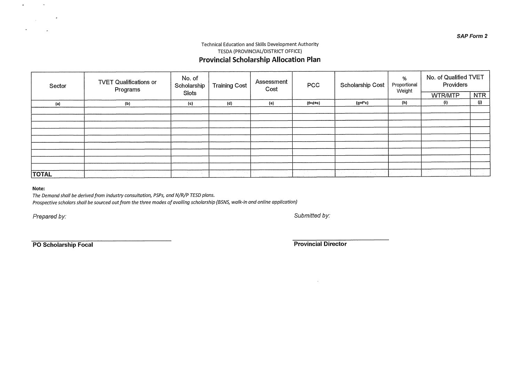#### Technical Education and Skills Development Authority TESDA (PROVINCIAL/DISTRICT OFFICE) **Provincial Scholarship Allocation Plan**

| Sector       | <b>TVET Qualifications or</b><br>Programs | No. of<br>Scholarship | <b>Training Cost</b> | Assessment<br>Cost | PCC        | Scholarship Cost | %<br>Proportional<br>Weight | No. of Qualified TVET<br>Providers |             |
|--------------|-------------------------------------------|-----------------------|----------------------|--------------------|------------|------------------|-----------------------------|------------------------------------|-------------|
|              |                                           | Slots                 |                      |                    |            |                  |                             | WTR/MTP                            | <b>NTR</b>  |
| (a)          | (b)                                       | (c)                   | (d)                  | (e)                | $(f= d+e)$ | $(g=f^*c)$       | (h)                         | (i)                                | (j)         |
|              |                                           |                       |                      |                    |            |                  |                             |                                    |             |
|              |                                           |                       |                      |                    |            |                  |                             |                                    |             |
|              |                                           |                       |                      |                    |            |                  |                             |                                    |             |
|              |                                           |                       |                      |                    |            |                  |                             |                                    |             |
|              |                                           |                       |                      |                    |            |                  |                             |                                    |             |
|              |                                           |                       |                      |                    |            |                  |                             |                                    |             |
|              |                                           |                       |                      |                    |            |                  |                             |                                    |             |
|              |                                           |                       |                      |                    |            |                  |                             |                                    |             |
|              |                                           |                       |                      |                    |            |                  |                             |                                    |             |
| <b>TOTAL</b> |                                           |                       | i Pilipina           |                    |            | The Control      |                             | in the state of                    | <b>STAR</b> |

#### **Note:**

 $\bullet$ 

 $\mathbf{a}$ 

 $\sim$ 

 $\mathcal{L}^{\text{max}}_{\text{max}}$  and  $\mathcal{L}^{\text{max}}_{\text{max}}$ 

 $\mathbf{r}$ 

The Demand shall be derived from industry consultation, PSPs, and N/R/P TESD plans.

Prospective scholars shall be sourced out from the three modes of availing scholarship (BSNS, walk-in and online application)

Prepared by: Submitted by:

**PO Scholarship Focal Provincial Director Provincial Director** 

 $\sim$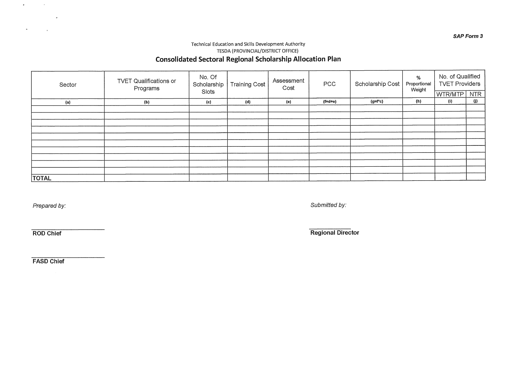#### **SAP Form 3**

### Technical Education and Skills Development Authority TESDA (PROVINCIAL/DISTRICT OFFICE) **Consolidated Sectoral Regional Scholarship Allocation Plan**

| Sector       | <b>TVET Qualifications or</b><br>Programs | No. Of<br>Scholarship | Training Cost | Assessment<br>Cost | PCC      | Scholarship Cost | %<br>Proportional<br>Weight | No. of Qualified<br><b>TVET Providers</b> |                     |
|--------------|-------------------------------------------|-----------------------|---------------|--------------------|----------|------------------|-----------------------------|-------------------------------------------|---------------------|
|              |                                           | Slots                 |               |                    |          |                  |                             | <b>WTR/MTP</b> NTR                        |                     |
| (a)          | (b)                                       | (c)                   | (d)           | (e)                | $(f=dt)$ | (g=f*c)          | (h)                         | (i)                                       | $\langle j \rangle$ |
|              |                                           |                       |               |                    |          |                  |                             |                                           |                     |
|              |                                           |                       |               |                    |          |                  |                             |                                           |                     |
|              |                                           |                       |               |                    |          |                  |                             |                                           |                     |
|              |                                           |                       |               |                    |          |                  |                             |                                           |                     |
|              |                                           |                       |               |                    |          |                  |                             |                                           |                     |
|              |                                           |                       |               |                    |          |                  |                             |                                           |                     |
|              |                                           |                       |               |                    |          |                  |                             |                                           |                     |
|              |                                           |                       |               |                    |          |                  |                             |                                           |                     |
|              |                                           |                       |               |                    |          |                  |                             |                                           |                     |
|              |                                           |                       |               |                    |          |                  |                             |                                           |                     |
| <b>TOTAL</b> |                                           |                       |               |                    |          |                  |                             |                                           |                     |

 $\sim$ 

 $\mathbf{a}$ 

 $\sim$ 

 $\sim 10^{-1}$ 

Prepared by: Submitted by:

**ROD Chief Regional Director** 

**FASD Chief**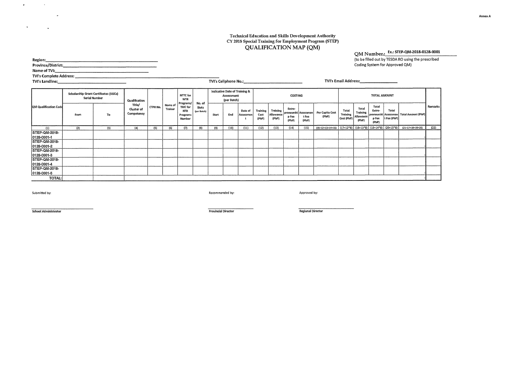#### **Technical Education and Skills Development Authority CY 2018 Special Training for Employment Program (S1 EP) QUALIFICATION MAP (QM)**

**TVI's Cellphone No.:** TVI's Email Address:

### QM Number.: **Ex.:** STEP-QM-2018-0128-0001

**(to be filled out by TESDA RO using the prescribed Coding System for Approved QM)** 

| Region:                 |  |
|-------------------------|--|
| Province/District:      |  |
| Name of TVI:            |  |
| TVI's Complete Address: |  |
| TVI's Landline:         |  |

|                                               |      | <b>Scholarship Grant Certificates (SGCs)</b><br><b>Serial Number</b> | Qualification                      |          |                    | NTTC for<br><b>WTR</b><br>Programs/         | No. of               |       | Indicative Date of Training &<br>Assessment<br>(per Batch) |                      |                           |                                | <b>COSTING</b>           |                                        |                          |                                              |                                         | <b>TOTAL AMOUNT</b>               |                      |                                                                                       |         |
|-----------------------------------------------|------|----------------------------------------------------------------------|------------------------------------|----------|--------------------|---------------------------------------------|----------------------|-------|------------------------------------------------------------|----------------------|---------------------------|--------------------------------|--------------------------|----------------------------------------|--------------------------|----------------------------------------------|-----------------------------------------|-----------------------------------|----------------------|---------------------------------------------------------------------------------------|---------|
| QM Qualification Code                         | From | To                                                                   | Title/<br>Cluster of<br>Competency | CTPR No. | Name of<br>Trainer | TMC for<br>NTR<br>Programs<br><b>Number</b> | Slots<br>(per Batch) | Start | End                                                        | Date of<br>Assessmen | Training<br>Cost<br>(PhP) | Training<br>Allowance<br>(PhP) | Entre-<br>p Fee<br>(PhP) | preneurshi Assessmen<br>t Fee<br>(PhP) | Per Capita Cost<br>(PhP) | Total<br>Training<br>$  \text{Cost (PhP)}  $ | Total<br>Training<br>Allowance<br>(PhP) | Total<br>Entre-<br>p Fee<br>(PhP) | Total<br>t Fee (PhP) | preneurshi Assessmen  Total Amount (PhP)                                              | Remarks |
| (1)                                           | (2)  | (3)                                                                  | (4)                                | (5)      | (6)                | (7)                                         | (8)                  | (9)   | (10)                                                       | (11)                 | (12)                      | (13)                           | (14)                     | (15)                                   |                          |                                              |                                         |                                   |                      | $(16=12+13+14+15)$ $(17=12*8)$ $(18=13*8)$ $(19=14*8)$ $(20=15*8)$ $(21=17+18+19+20)$ | (22)    |
| STEP-QM-2018-<br>0128-0001-1<br>STEP-QM-2018- |      |                                                                      |                                    |          |                    |                                             |                      |       |                                                            |                      |                           |                                |                          |                                        |                          |                                              |                                         |                                   |                      |                                                                                       |         |
| 0128-0001-2                                   |      |                                                                      |                                    |          |                    |                                             |                      |       |                                                            |                      |                           |                                |                          |                                        |                          |                                              |                                         |                                   |                      |                                                                                       |         |
| STEP-QM-2018-<br>0128-0001-3                  |      |                                                                      |                                    |          |                    |                                             |                      |       |                                                            |                      |                           |                                |                          |                                        |                          |                                              |                                         |                                   |                      |                                                                                       |         |
| STEP-QM-2018-<br>0128-0001-4                  |      |                                                                      |                                    |          |                    |                                             |                      |       |                                                            |                      |                           |                                |                          |                                        |                          |                                              |                                         |                                   |                      |                                                                                       |         |
| STEP-QM-2018-<br>0128-0001-5                  |      |                                                                      |                                    |          |                    |                                             |                      |       |                                                            |                      |                           |                                |                          |                                        |                          |                                              |                                         |                                   |                      |                                                                                       |         |
| <b>TOTAL:</b>                                 |      |                                                                      |                                    |          |                    |                                             |                      |       |                                                            |                      |                           |                                |                          |                                        |                          |                                              |                                         |                                   |                      |                                                                                       |         |

 $\mathbf{r}$ 

 $\mathbf{w}$ 

 $\sim$ 

 $\sim 10^{-1}$ 

 $\mathbf{r}$ 

Submitted by: Recommended by: Approved by:

School Administrator Provincial Director Regional Director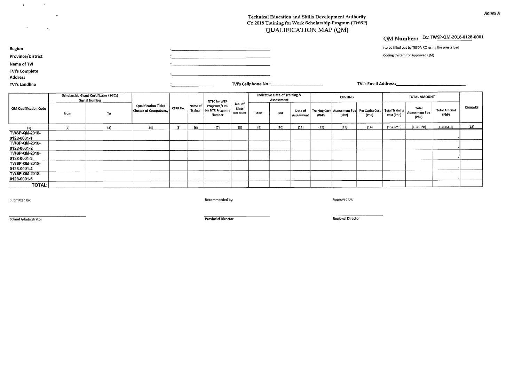#### **Technical Education and Skills Development Authority CY 2018 Training for Work Scholarship Program (TWSP) QUALIFICATION MAP (QM)**

### **QM Number.: Ex.: TWSP-QM-2018-0128-0001**

(to be filled out by TESDA RO using the prescribed

Coding System for Approved QM)

**Province/District Name of TVI** 

**Region** 

**TVI's Complete** 

 $\bullet$ 

 $\mathbf{h}$ 

 $\mathbf{r}$ 

 $\mathbf{r}_\mathrm{c}$ 

 $\mathbf{v}$ 

**Address** 

**TVI's Landline** 

**TVI's Cellphone No.: TVI's Email Address:** 

|                                             |      | <b>Scholarship Grant Certificates (SGCs)</b><br><b>Serial Number</b> |                                                             |          |                    | NTTC for WTR                                           |                                |       | Indicative Date of Training &<br>Assessment |                       |       | COSTING                                                     |       |                                     | <b>TOTAL AMOUNT</b>                     |                              |         |
|---------------------------------------------|------|----------------------------------------------------------------------|-------------------------------------------------------------|----------|--------------------|--------------------------------------------------------|--------------------------------|-------|---------------------------------------------|-----------------------|-------|-------------------------------------------------------------|-------|-------------------------------------|-----------------------------------------|------------------------------|---------|
| QM Qualification Code                       | From | To                                                                   | <b>Qualification Title/</b><br><b>Cluster of Competency</b> | CTPR No. | Name of<br>Trainer | Programs/TMC<br>or NTR Programs <sup>1</sup><br>Number | No. of<br>Slots<br>(per Batch) | Start | End                                         | Date of<br>Assessment | (PhP) | Training Cost   Assessment Fee   Per Capita Cost  <br>(PhP) | (PhP) | <b>Total Training</b><br>Cost (PhP) | Total<br><b>Assessment Fee</b><br>(PhP) | <b>Total Amount</b><br>(PhP) | Remarks |
| (1)                                         | (2)  | (3)                                                                  | (4)                                                         | (5)      | (6)                | (7)                                                    | (8)                            | (9)   | (10)                                        | (11)                  | (12)  | (13)                                                        | (14)  | $(15=12*8)$                         | $(16=13*8)$                             | $(17=15+16)$                 | (18)    |
| TWSP-QM-2018-<br>$ 0128 - 0001 - 1 $        |      |                                                                      |                                                             |          |                    |                                                        |                                |       |                                             |                       |       |                                                             |       |                                     |                                         |                              |         |
| <b>TWSP-QM-2018-</b><br>0128-0001-2         |      |                                                                      |                                                             |          |                    |                                                        |                                |       |                                             |                       |       |                                                             |       |                                     |                                         |                              |         |
| <b>TWSP-QM-2018-</b><br>$ 0128 - 0001 - 3 $ |      |                                                                      |                                                             |          |                    |                                                        |                                |       |                                             |                       |       |                                                             |       |                                     |                                         |                              |         |
| <b>TWSP-QM-2018-</b><br>$ 0128 - 0001 - 4 $ |      |                                                                      |                                                             |          |                    |                                                        |                                |       |                                             |                       |       |                                                             |       |                                     |                                         |                              |         |
| <b>TWSP-QM-2018-</b><br>0128-0001-5         |      |                                                                      |                                                             |          |                    |                                                        |                                |       |                                             |                       |       |                                                             |       |                                     |                                         |                              |         |
| <b>TOTAL:</b>                               |      |                                                                      |                                                             |          |                    |                                                        |                                |       |                                             |                       |       |                                                             |       |                                     |                                         |                              |         |

Submitted by: Approved by: Approved by: Recommended by: Recommended by: Approved by: Approved by: Approved by:

<u> Albanya di Kabupatén Bandung Pangaran Ing Pangaran Bandung Bandung Bandung Bandung Bandung Bandung Bandung Bandung Bandung Bandung Bandung Bandung Bandung Bandung Bandung Bandung Bandung Bandung Bandung Bandung Bandung B</u>

**School Administrator Provincial Director Regional Director**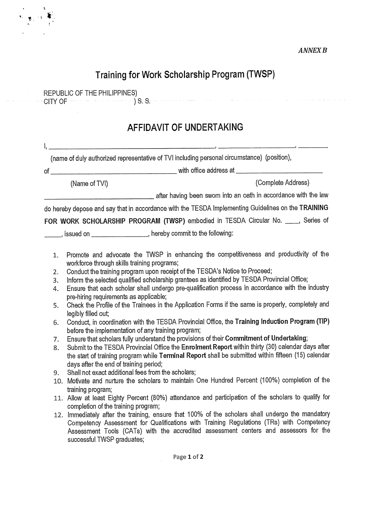#### *ANNEX B*

### **Training for Work Scholarship Program (TWSP)**

REPUBLIC OF THE PHILIPPINES)  $CFTY OF$   $\longrightarrow$   $S.S.$ 

## **AFFIDAVIT OF UNDERTAKING**

|    |               | (name of duly authorized representative of TVI including personal circumstance) (position),        |
|----|---------------|----------------------------------------------------------------------------------------------------|
| of |               |                                                                                                    |
|    | (Name of TVI) | (Complete Address)                                                                                 |
|    |               | after having been swom into an oath in accordance with the law                                     |
|    |               | do hereby depose and say that in accordance with the TESDA Implementing Guidelines on the TRAINING |
|    |               | FOR WORK SCHOLARSHIP PROGRAM (TWSP) embodied in TESDA Circular No. ____, Series of                 |

, issued on  $\frac{1}{1}$  , hereby commit to the following:

- 1. Promote and advocate the TWSP in enhancing the competitiveness and productivity of the workforce through skills training programs;
- 2. Conduct the training program upon receipt of the TESDA's Notice to Proceed;
- 3. Inform the selected qualified scholarship grantees as identified by TESDA Provincial Office;
- 4. Ensure that each scholar shall undergo pre-qualification process in accordance with the industry pre-hiring requirements as applicable;
- 5. Check the Profile of the Trainees in the Application Forms if the same is properly, completely and legibly filled out;
- 6. Conduct, in coordination with the TESDA Provincial Office, the **Training Induction Program (TIP)**  before the implementation of any training program;
- 7. Ensure that scholars fully understand the provisions of their **Commitment of Undettaking;**
- 8. Submit to the TESDA Provincial Office the **Enrolment Report** within thirty (30) calendar days after the start of training program while **Terminal Report** shall be submitted within fifteen (15) calendar days after the end of training period;
- 9. Shall not exact additional fees from the scholars;
- 10. Motivate and nurture the scholars to maintain One Hundred Percent (100%) completion of the training program;
- 11. Allow at least Eighty Percent (80%) attendance and participation of the scholars to qualify for completion of the training program;
- 12. Immediately after the training, ensure that 100% of the scholars shall undergo the mandatory Competency Assessment for Qualifications with Training Regulations (TRs) with Competency Assessment Tools (CATs) with the accredited assessment centers and assessors for the successful TWSP graduates;

Page 1 of 2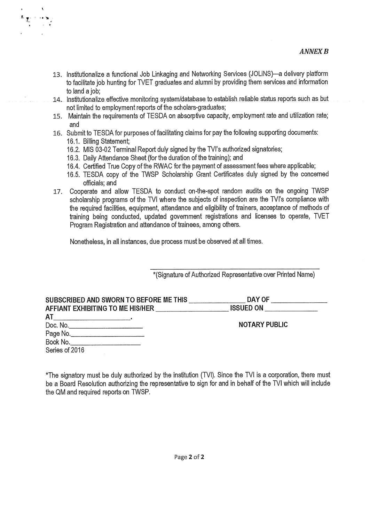- 13. Institutionalize a functional Job Linkaging and Networking Services (JOLiNS)—a delivery platform to facilitate job hunting for TVET graduates and alumni by providing them services and information to land a job;
- 14. institutionalize effective monitoring system/database to establish reliable status reports such as but not limited to employment reports of the scholars-graduates;
- 15. Maintain the requirements of TESDA on absorptive capacity, employment rate and utilization rate; and
- 16. Submit to TESDA for purposes of facilitating claims for pay the following supporting documents: 16.1. Billing Statement;
	- 16.2. MIS 03-02 Terminal Report duly signed by the TVI's authorized signatories;
	- 16.3. Daily Attendance Sheet (for the duration of the training); and
	- 16.4. Certified True Copy of the RVVAC for the payment of assessment fees where applicable;
	- 16.5. TESDA copy of the TWSP Scholarship Grant Certificates duly signed by the concerned officials; and
- 17. Cooperate and allow TESDA to conduct on-the-spot random audits on the ongoing TWSP scholarship programs of the TV1 where the subjects of inspection are the TVI's compliance with the required facilities, equipment, attendance and eligibility of trainers, acceptance of methods of training being conducted, updated government registrations and licenses to operate, TVET Program Registration and attendance of trainees, among others.

Nonetheless, in all instances, due process must be observed at all times.

\*(Signature of Authorized Representative over Printed Name)

| SUBSCRIBED AND SWORN TO BEFORE ME THIS<br>AFFIANT EXHIBITING TO ME HIS/HER                                                 | DAY OF<br><b>ISSUED ON</b> |
|----------------------------------------------------------------------------------------------------------------------------|----------------------------|
| AT<br><u> 1989 - Jan James James Jan James James James James James James James James James James James James James Jam</u> |                            |
| Doc. No.___________________________                                                                                        | <b>NOTARY PUBLIC</b>       |
| Page No.                                                                                                                   |                            |
| Book No.                                                                                                                   |                            |
| Series of 2016                                                                                                             |                            |

\*The signatory must be duly authorized by the institution (TVI). Since the TVI is a corporation, there must be a Board Resolution authorizing the representative to sign for and in behalf of the TVI which will include the QM and required reports on TWSP.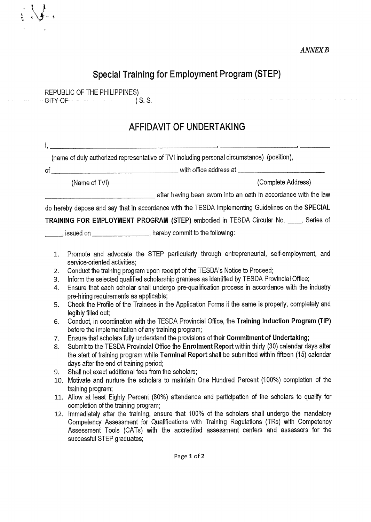## **Special Training for Employment Program (STEP)**

REPUBLIC OF THE PHILIPPINES) CITY OF ) S. S.

 $\begin{matrix} \cdot & \cdot & \cdot \\ \cdot & \cdot & \cdot \\ \cdot & \cdot & \cdot \end{matrix}$ 

## **AFFIDAVIT OF UNDERTAKING**

|    | (name of duly authorized representative of TVI including personal circumstance) (position),       |
|----|---------------------------------------------------------------------------------------------------|
| of | with office address at <b>with</b> office address at                                              |
|    | (Complete Address)<br>(Name of TVI)                                                               |
|    | after having been swom into an oath in accordance with the law                                    |
|    | do hereby depose and say that in accordance with the TESDA Implementing Guidelines on the SPECIAL |
|    | <b>TRAINING FOR EMPLOYMENT PROGRAM (STEP)</b> embodied in TESDA Circular No. ____, Series of      |

, issued on , hereby commit to the following:

- 1. Promote and advocate the STEP particularly through entrepreneurial, self-employment, and service-oriented activities;
- 2. Conduct the training program upon receipt of the TESDA's Notice to Proceed;
- 3. Inform the selected qualified scholarship grantees as identified by TESDA Provincial Office;
- 4. Ensure that each scholar shall undergo pre-qualification process in accordance with the industry pre-hiring requirements as applicable;
- 5. Check the Profile of the Trainees in the Application Forms if the same is properly, completely and legibly filled out;
- 6. Conduct, in coordination with the TESDA Provincial Office, the **Training Induction Program (TIP)**  before the implementation of any training program;
- 7. Ensure that scholars fully understand the provisions of their **Commitment of Undertaking;**
- 8. Submit to the TESDA Provincial Office the **Enrolment Report** within thirty (30) calendar days after the start of training program while **Terminal Report** shall be submitted within fifteen (15) calendar days after the end of training period;
- 9. Shall not exact additional fees from the scholars;
- 10. Motivate and nurture the scholars to maintain One Hundred Percent (100%) completion of the training program;
- 11. Allow at least Eighty Percent (80%) attendance and participation of the scholars to qualify for completion of the training program;
- 12. Immediately after the training, ensure that 100% of the scholars shall undergo the mandatory Competency Assessment for Qualifications with Training Regulations (TRs) with Competency Assessment Tools (CATs) with the accredited assessment centers and assessors for the successful STEP graduates;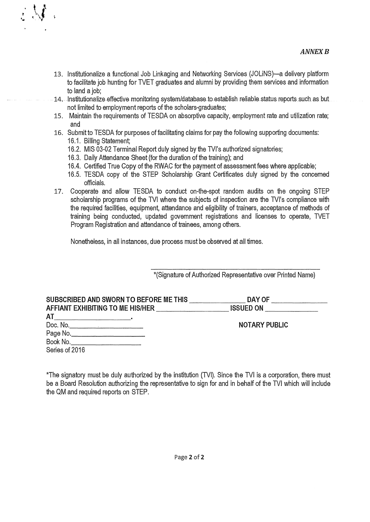- 13. Institutionalize a functional Job Linkaging and Networking Services (JOLINS)—a delivery platform to facilitate job hunting for TVET graduates and alumni by providing them services and information to land a job;
- 14. Institutionalize effective monitoring system/database to establish reliable status reports such as but not limited to employment reports of the scholars-graduates;
- 15. Maintain the requirements of TESDA on absorptive capacity, employment rate and utilization rate; and
- 16. Submit to TESDA for purposes of facilitating claims for pay the following supporting documents: 16.1. Billing Statement;
	- 16.2. MIS 03-02 Terminal Report duly signed by the TVI's authorized signatories;
	- 16.3. Daily Attendance Sheet (for the duration of the training); and
	- 16.4. Certified True Copy of the RWAC for the payment of assessment fees where applicable;
	- 16.5. TESDA copy of the STEP Scholarship Grant Certificates duly signed by the concerned officials.
- 17. Cooperate and allow TESDA to conduct on-the-spot random audits on the ongoing STEP scholarship programs of the TVI where the subjects of inspection are the TVI's compliance with the required facilities, equipment, attendance and eligibility of trainers, acceptance of methods of training being conducted, updated government registrations and licenses to operate, TVET Program Registration and attendance of trainees, among others.

Nonetheless, in all instances, due process must be observed at all times.

\*(Signature of Authorized Representative over Printed Name)

| SUBSCRIBED AND SWORN TO BEFORE ME THIS<br>AFFIANT EXHIBITING TO ME HIS/HER | DAY OF<br><b>ISSUED ON</b> |
|----------------------------------------------------------------------------|----------------------------|
| <b>AT</b>                                                                  |                            |
| Doc. No.______________________________                                     | <b>NOTARY PUBLIC</b>       |
| Page No.                                                                   |                            |
|                                                                            |                            |
| Series of 2016                                                             |                            |

\*The signatory must be duly authorized by the institution (TVI). Since the TVI is a corporation, there must be a Board Resolution authorizing the representative to sign for and in behalf of the TVI which will include the QM and required reports on STEP.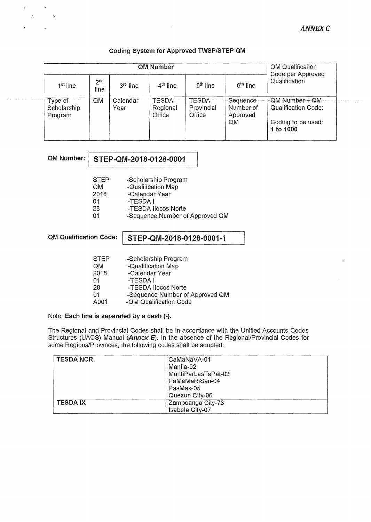#### **Coding System for Approved TWSP/STEP QM**

|                                   |                         | QM Qualification<br>Code per Approved |                                    |                                |                                           |                                                                          |  |  |  |
|-----------------------------------|-------------------------|---------------------------------------|------------------------------------|--------------------------------|-------------------------------------------|--------------------------------------------------------------------------|--|--|--|
| 1 <sup>st</sup> line              | 2 <sup>nd</sup><br>line | 3 <sup>rd</sup> line                  | 4 <sup>th</sup> line               | 5 <sup>th</sup> line           | 6 <sup>th</sup> line                      | Qualification                                                            |  |  |  |
| Type of<br>Scholarship<br>Program | $QM^-$                  | ∵Calendar<br>Year                     | <b>TESDA</b><br>Regional<br>Office | TESDA-<br>Provincial<br>Office | ·Sequence·<br>Number of<br>Approved<br>QM | QM Number + QM<br>Qualification Code:<br>Coding to be used:<br>1 to 1000 |  |  |  |

 $\ddot{\phantom{0}}$  $\ddot{\phantom{1}}$ 

 $\epsilon$ 

### **QM Number: STEP-QM-2018-0128-0001**

QM -Qualification Map<br>2018 -Calendar Year

2018 - Calendar Year<br>01 - TESDA I

01 -TESDA I -TESDA Ilocos Norte

01 -Sequence Number of Approved QM

### **QM Qualification Code: STEP-QM-2018-0128-0001-1**

| <b>STEP</b> | -Scholarship Program            |
|-------------|---------------------------------|
| <b>QM</b>   | -Qualification Map              |
| 2018        | -Calendar Year                  |
| $\Omega$ 1  | -TESDA I                        |
| 28          | -TESDA Ilocos Norte             |
| 01          | -Sequence Number of Approved QM |
| A001        | -QM Qualification Code          |

#### Note: **Each line is separated by a dash (-).**

The Regional and Provincial Codes shall be in accordance with the Unified Accounts Codes Structures (UACS) Manual *(Annex E).* In the absence of the Regional/Provincial Codes for some Regions/Provinces, the following codes shall be adopted:

| <b>TESDA NCR</b> | CaMaNaVA-01         |
|------------------|---------------------|
|                  | Manila-02           |
|                  | MuntiParLasTaPat-03 |
|                  | PaMaMaRiSan-04      |
|                  | PasMak-05           |
|                  | Quezon City-06      |
| <b>TESDAIX</b>   | Zamboanga City-73   |
|                  | Isabela City-07     |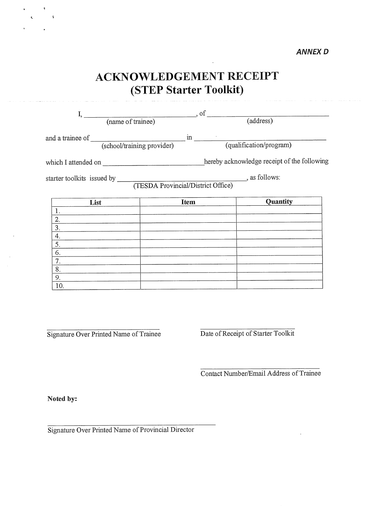## **ACKNOWLEDGEMENT RECEIPT (STEP Starter Toolkit)**

| I,                                                                                              | $\overline{\phantom{a}}$ , of |                         |  |
|-------------------------------------------------------------------------------------------------|-------------------------------|-------------------------|--|
| (name of trainee)                                                                               |                               | $\overline{(address)}$  |  |
| and a trainee of (school/training provider)                                                     | $\mathbf{m}$                  | (qualification/program) |  |
| which I attended on ________________________________hereby acknowledge receipt of the following |                               |                         |  |
|                                                                                                 |                               |                         |  |
|                                                                                                 |                               |                         |  |
| List                                                                                            | <b>Item</b>                   | Quantity                |  |
| 1.                                                                                              |                               |                         |  |
| 2.                                                                                              |                               |                         |  |
| 3.                                                                                              |                               |                         |  |
| 4.                                                                                              |                               |                         |  |
| 5.                                                                                              |                               |                         |  |
| 6.                                                                                              |                               |                         |  |
| 7.                                                                                              |                               |                         |  |
| 8.                                                                                              |                               |                         |  |
| 9.                                                                                              |                               |                         |  |
| 10.                                                                                             |                               |                         |  |

Signature Over Printed Name of Trainee Date of Receipt of Starter Toolkit

Contact Number/Email Address of Trainee

**Noted by:** 

 $\mathbf{A}$ 

 $\epsilon$ 

Signature Over Printed Name of Provincial Director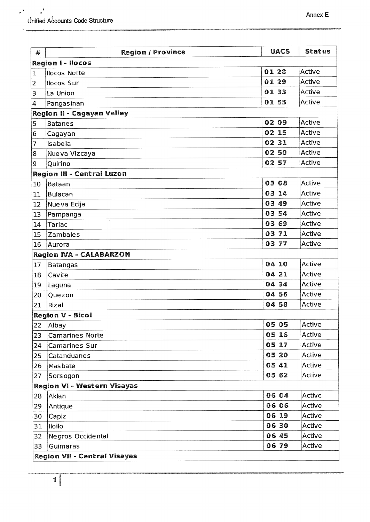| #              | <b>Region / Province</b>            | <b>UACS</b> | <b>Status</b> |  |
|----------------|-------------------------------------|-------------|---------------|--|
|                | <b>Region I - Ilocos</b>            |             |               |  |
| $\mathbf 1$    | <b>Ilocos Norte</b>                 | 01 28       | Active        |  |
| $\overline{2}$ | Ilocos Sur                          | 01 29       | Active        |  |
| 3              | La Union                            | 0133        | Active        |  |
| 4              | Pangasinan                          | 0155        | Active        |  |
|                | <b>Region II - Cagayan Valley</b>   |             |               |  |
| 5              | <b>Batanes</b>                      | 02 09       | Active        |  |
| 6              | Cagayan                             | 02 15       | Active        |  |
| $\overline{7}$ | <b>Isabela</b>                      | 02 31       | Active        |  |
| 8              | Nueva Vizcaya                       | 02 50       | Active        |  |
| 9              | Quirino                             | 02 57       | Active        |  |
|                | <b>Region III - Central Luzon</b>   |             |               |  |
| 10             | Bataan                              | 03 08       | Active        |  |
| 11             | Bulacan                             | 03 14       | Active        |  |
| 12             | Nueva Ecija                         | 03 49       | Active        |  |
| 13             | Pampanga                            | 03 54       | Active        |  |
| 14             | <b>Tarlac</b>                       | 03 69       | Active        |  |
| 15             | Zambales                            | 03 71       | Active        |  |
| 16             | Aurora                              | 03 77       | Active        |  |
|                | <b>Region IVA - CALABARZON</b>      |             |               |  |
| 17             | <b>Batangas</b>                     | 04 10       | Active        |  |
| 18             | Cavite                              | 04 21       | <b>Active</b> |  |
| 19             | Laguna                              | 04 34       | Active        |  |
| 20             | Quezon                              | 04 56       | Active        |  |
| 21             | Rizal                               | 04 58       | Active        |  |
|                | <b>Region V - Bicol</b>             |             |               |  |
| 22             | Albay                               | 05 05       | Active        |  |
| 23             | <b>Camarines Norte</b>              | 05 16       | Active        |  |
| 24             | <b>Camarines Sur</b>                | 05 17       | Active        |  |
| 25             | Catanduanes                         | 05 20       | Active        |  |
| 26             | Masbate                             | 05 41       | Active        |  |
| 27             | Sorsogon                            | 05 62       | Active        |  |
|                | <b>Region VI - Western Visayas</b>  |             |               |  |
| 28             | Aklan                               | 06 04       | Active        |  |
| 29             | Antique                             | 06 06       | Active        |  |
| 30             | Capiz                               | 06 19       | Active        |  |
| 31             | lloilo                              | 06 30       | Active        |  |
| 32             | Negros Occidental                   | 06 45       | Active        |  |
| 33             | Guimaras                            | 06 79       | Active        |  |
|                | <b>Region VII - Central Visayas</b> |             |               |  |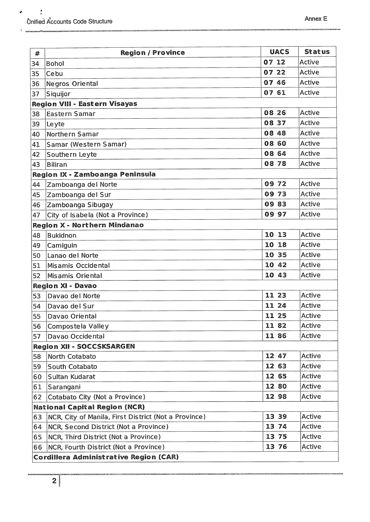$\pmb{\theta}$ 

| #                                    | <b>Region / Province</b>                             | <b>UACS</b> | <b>Status</b> |
|--------------------------------------|------------------------------------------------------|-------------|---------------|
| 34                                   | Bohol                                                | 07 12       | Active        |
| 35                                   | Cebu                                                 | 07 22       | Active        |
| 36                                   | Negros Oriental                                      | 07 46       | Active        |
| 37                                   | Siquijor                                             | 07 61       | Active        |
|                                      | <b>Region VIII - Eastern Visayas</b>                 |             |               |
| 38                                   | <b>Eastern Samar</b>                                 | 08 26       | Active        |
| 39                                   | Leyte                                                | 08 37       | Active        |
| 40                                   | Northern Samar                                       | 08 48       | Active        |
| 41                                   | Samar (Western Samar)                                | 08 60       | Active        |
| 42                                   | Southern Leyte                                       | 08 64       | Active        |
| 43                                   | <b>Biliran</b>                                       | 08 78       | Active        |
|                                      | Region IX - Zamboanga Peninsula                      |             |               |
| 44                                   | Zamboanga del Norte                                  | 09 72       | Active        |
| 45                                   | Zamboanga del Sur                                    | 0973        | Active        |
| 46                                   | Zamboanga Sibugay                                    | 0983        | Active        |
| 47                                   | City of Isabela (Not a Province)                     | 09 97       | Active        |
|                                      | <b>Region X - Northern Mindanao</b>                  |             |               |
| 48                                   | <b>Bukidnon</b>                                      | 10 13       | Active        |
| 49                                   | Camiguin                                             | 10 18       | Active        |
| 50                                   | Lanao del Norte                                      | 10 35       | Active        |
| 51                                   | Misamis Occidental                                   | 10<br>42    | Active        |
| 52                                   | Misamis Oriental                                     | 10 43       | Active        |
|                                      | <b>Region XI - Davao</b>                             |             |               |
| 53                                   | Davao del Norte                                      | 11 23       | Active        |
| 54                                   | Davao del Sur                                        | 11 24       | Active        |
| 55                                   | Davao Oriental                                       | 11 25       | Active        |
| 56                                   | Compostela Valley                                    | 11 82       | Active        |
| 57                                   | Davao Occidental                                     | 11 86       | Active        |
|                                      | <b>Region XII - SOCCSKSARGEN</b>                     |             |               |
| 58                                   | North Cotabato                                       | 12 47       | Active        |
| 59                                   | South Cotabato                                       | 12 63       | Active        |
| 60                                   | Sultan Kudarat                                       | 12 65       | Active        |
| 61                                   | Sarangani                                            | 12 80       | Active        |
| 62                                   | Cotabato City (Not a Province)                       | 12 98       | Active        |
| <b>National Capital Region (NCR)</b> |                                                      |             |               |
| 63                                   | NCR, City of Manila, First District (Not a Province) | 13 39       | Active        |
| 64                                   | NCR, Second District (Not a Province)                | 13 74       | Active        |
| 65                                   | NCR, Third District (Not a Province)                 | 13 75       | Active        |
| 66                                   | NCR, Fourth District (Not a Province)                | 13 76       | Active        |
|                                      | Cordillera Administrative Region (CAR)               |             |               |